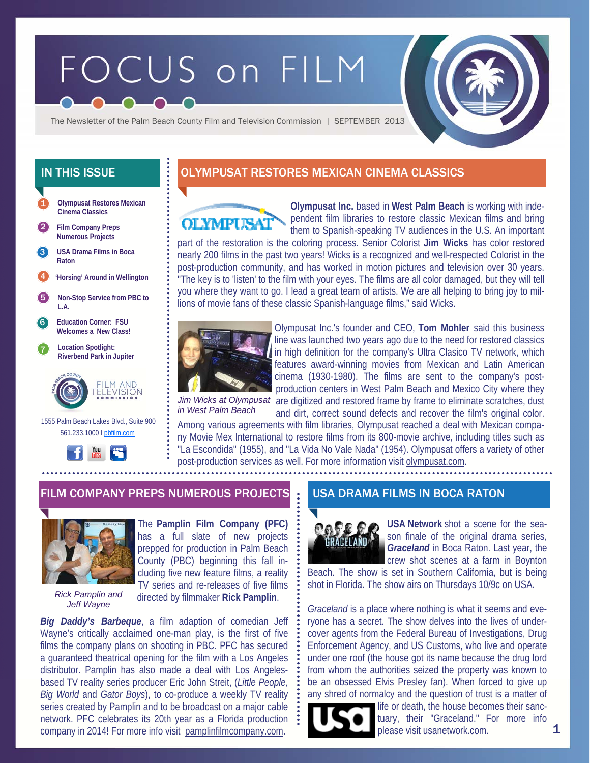# FOCUS on FILM

The Newsletter of the Palm Beach County Film and Television Commission | SEPTEMBER 2013

**Olympusat Restores Mexican Cinema Classics**  1

2 **Film Company Preps Numerous Projects** 

**USA Drama Films in Boca Raton**  3

4 **'Horsing' Around in Wellington** 

5 **Non-Stop Service from PBC to L.A.** 

6 **Education Corner: FSU Welcomes a New Class!** 

7 **Location Spotlight: Riverbend Park in Jupiter** 



 1555 Palm Beach Lakes Blvd., Suite 900 561.233.1000 I pbfilm.com



# IN THIS ISSUE **DEFINITION OLYMPUSAT RESTORES MEXICAN CINEMA CLASSICS**



**Olympusat Inc.** based in **West Palm Beach** is working with independent film libraries to restore classic Mexican films and bring them to Spanish-speaking TV audiences in the U.S. An important

part of the restoration is the coloring process. Senior Colorist **Jim Wicks** has color restored nearly 200 films in the past two years! Wicks is a recognized and well-respected Colorist in the post-production community, and has worked in motion pictures and television over 30 years. "The key is to 'listen' to the film with your eyes. The films are all color damaged, but they will tell you where they want to go. I lead a great team of artists. We are all helping to bring joy to millions of movie fans of these classic Spanish-language films," said Wicks.



Olympusat Inc.'s founder and CEO, **Tom Mohler** said this business line was launched two years ago due to the need for restored classics in high definition for the company's Ultra Clasico TV network, which features award-winning movies from Mexican and Latin American cinema (1930-1980). The films are sent to the company's postproduction centers in West Palm Beach and Mexico City where they Jim Wicks at Olympusat are digitized and restored frame by frame to eliminate scratches, dust

*in West Palm Beach* 

and dirt, correct sound defects and recover the film's original color. Among various agreements with film libraries, Olympusat reached a deal with Mexican company Movie Mex International to restore films from its 800-movie archive, including titles such as "La Escondida" (1955), and "La Vida No Vale Nada" (1954). Olympusat offers a variety of other post-production services as well. For more information visit olympusat.com.

## FILM COMPANY PREPS NUMEROUS PROJECTS . USA DRAMA FILMS IN BOCA RATON



The **Pamplin Film Company (PFC)**  has a full slate of new projects prepped for production in Palm Beach County (PBC) beginning this fall including five new feature films, a reality TV series and re-releases of five films

*Rick Pamplin and Jeff Wayne* 

directed by filmmaker **Rick Pamplin**.

*Big Daddy's Barbeque*, a film adaption of comedian Jeff Wayne's critically acclaimed one-man play, is the first of five films the company plans on shooting in PBC. PFC has secured a guaranteed theatrical opening for the film with a Los Angeles distributor. Pamplin has also made a deal with Los Angelesbased TV reality series producer Eric John Streit, (*Little People*, *Big World* and *Gator Boys*), to co-produce a weekly TV reality series created by Pamplin and to be broadcast on a major cable network. PFC celebrates its 20th year as a Florida production company in 2014! For more info visit pamplinfilmcompany.com.



**USA Network** shot a scene for the season finale of the original drama series, *Graceland* in Boca Raton. Last year, the crew shot scenes at a farm in Boynton

Beach. The show is set in Southern California, but is being shot in Florida. The show airs on Thursdays 10/9c on USA.

*Graceland* is a place where nothing is what it seems and everyone has a secret. The show delves into the lives of undercover agents from the Federal Bureau of Investigations, Drug Enforcement Agency, and US Customs, who live and operate under one roof (the house got its name because the drug lord from whom the authorities seized the property was known to be an obsessed Elvis Presley fan). When forced to give up any shred of normalcy and the question of trust is a matter of life or death, the house becomes their sanc-



tuary, their "Graceland." For more info please visit usanetwork.com.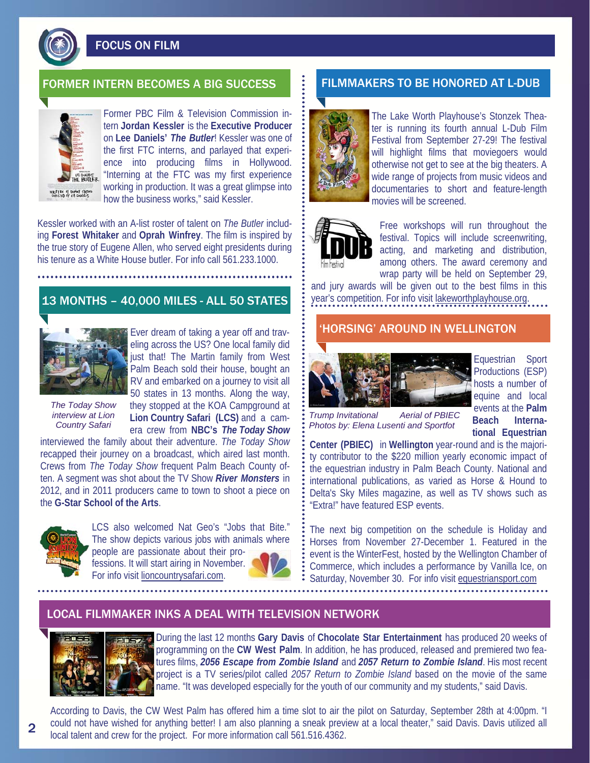

FOCUS ON FILM

# FORMER INTERN BECOMES A BIG SUCCESS FILMMAKERS TO BE HONORED AT L-DUB



Former PBC Film & Television Commission intern **Jordan Kessler** is the **Executive Producer** on **Lee Daniels'** *The Butler*! Kessler was one of the first FTC interns, and parlayed that experience into producing films in Hollywood. "Interning at the FTC was my first experience working in production. It was a great glimpse into how the business works," said Kessler.

Kessler worked with an A-list roster of talent on *The Butler* including **Forest Whitaker** and **Oprah Winfrey**. The film is inspired by the true story of Eugene Allen, who served eight presidents during his tenure as a White House butler. For info call 561.233.1000.

# 13 MONTHS – 40,000 MILES - ALL 50 STATES



Ever dream of taking a year off and traveling across the US? One local family did just that! The Martin family from West Palm Beach sold their house, bought an RV and embarked on a journey to visit all 50 states in 13 months. Along the way, they stopped at the KOA Campground at **Lion Country Safari (LCS)** and a camera crew from **NBC's** *The Today Show* 

*The Today Show interview at Lion Country Safari* 

interviewed the family about their adventure. *The Today Show*  recapped their journey on a broadcast, which aired last month. Crews from *The Today Show* frequent Palm Beach County often. A segment was shot about the TV Show *River Monsters* in 2012, and in 2011 producers came to town to shoot a piece on the **G-Star School of the Arts**.

For info visit lioncountrysafari.com.



LCS also welcomed Nat Geo's "Jobs that Bite." The show depicts various jobs with animals where people are passionate about their pro-

fessions. It will start airing in November.



The Lake Worth Playhouse's Stonzek Theater is running its fourth annual L-Dub Film Festival from September 27-29! The festival will highlight films that moviegoers would otherwise not get to see at the big theaters. A wide range of projects from music videos and documentaries to short and feature-length movies will be screened.



Free workshops will run throughout the festival. Topics will include screenwriting, acting, and marketing and distribution, among others. The award ceremony and wrap party will be held on September 29,

and jury awards will be given out to the best films in this year's competition. For info visit lakeworthplayhouse.org.

## 'HORSING' AROUND IN WELLINGTON



Equestrian Sport Productions (ESP) hosts a number of equine and local events at the **Palm Beach International Equestrian** 

*Trump Invitational Aerial of PBIEC Photos by: Elena Lusenti and Sportfot* 

**Center (PBIEC)** in **Wellington** year-round and is the majority contributor to the \$220 million yearly economic impact of the equestrian industry in Palm Beach County. National and international publications, as varied as Horse & Hound to Delta's Sky Miles magazine, as well as TV shows such as "Extra!" have featured ESP events.

The next big competition on the schedule is Holiday and Horses from November 27-December 1. Featured in the event is the WinterFest, hosted by the Wellington Chamber of Commerce, which includes a performance by Vanilla Ice, on Saturday, November 30. For info visit equestriansport.com

## LOCAL FILMMAKER INKS A DEAL WITH TELEVISION NETWORK



During the last 12 months **Gary Davis** of **Chocolate Star Entertainment** has produced 20 weeks of programming on the **CW West Palm**. In addition, he has produced, released and premiered two features films, *2056 Escape from Zombie Island* and *2057 Return to Zombie Island*. His most recent project is a TV series/pilot called *2057 Return to Zombie Island* based on the movie of the same name. "It was developed especially for the youth of our community and my students," said Davis.

According to Davis, the CW West Palm has offered him a time slot to air the pilot on Saturday, September 28th at 4:00pm. "I could not have wished for anything better! I am also planning a sneak preview at a local theater," said Davis. Davis utilized all local talent and crew for the project. For more information call 561.516.4362.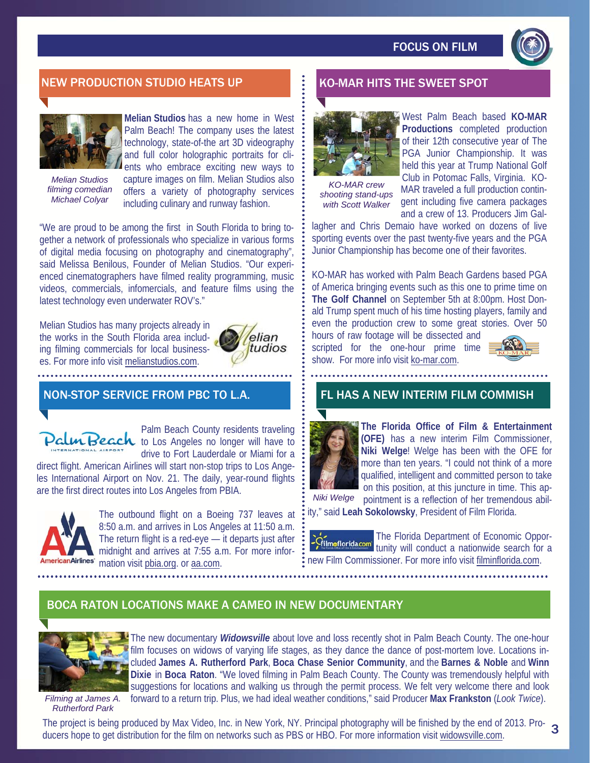

# NEW PRODUCTION STUDIO HEATS UP A REAL BOOM BY KO-MAR HITS THE SWEET SPOT



*Melian Studios* 

**Melian Studios** has a new home in West Palm Beach! The company uses the latest technology, state-of-the art 3D videography and full color holographic portraits for clients who embrace exciting new ways to

*filming comedian Michael Colyar* 

capture images on film. Melian Studios also offers a variety of photography services including culinary and runway fashion.

"We are proud to be among the first in South Florida to bring together a network of professionals who specialize in various forms of digital media focusing on photography and cinematography", said Melissa Benilous, Founder of Melian Studios. "Our experienced cinematographers have filmed reality programming, music videos, commercials, infomercials, and feature films using the latest technology even underwater ROV's."

Melian Studios has many projects already in the works in the South Florida area including filming commercials for local businesses. For more info visit melianstudios.com.



# NON-STOP SERVICE FROM PBC TO L.A.



Palm Beach County residents traveling **In Beach** to Los Angeles no longer will have to drive to Fort Lauderdale or Miami for a

direct flight. American Airlines will start non-stop trips to Los Angeles International Airport on Nov. 21. The daily, year-round flights are the first direct routes into Los Angeles from PBIA.



The outbound flight on a Boeing 737 leaves at 8:50 a.m. and arrives in Los Angeles at 11:50 a.m. The return flight is a red-eye — it departs just after midnight and arrives at 7:55 a.m. For more informericanAirlines' mation visit pbia.org. or aa.com.



*KO-MAR crew shooting stand-ups with Scott Walker* 

West Palm Beach based **KO-MAR Productions** completed production of their 12th consecutive year of The PGA Junior Championship. It was held this year at Trump National Golf Club in Potomac Falls, Virginia. KO-MAR traveled a full production contingent including five camera packages and a crew of 13. Producers Jim Gal-

lagher and Chris Demaio have worked on dozens of live sporting events over the past twenty-five years and the PGA Junior Championship has become one of their favorites.

KO-MAR has worked with Palm Beach Gardens based PGA of America bringing events such as this one to prime time on **The Golf Channel** on September 5th at 8:00pm. Host Donald Trump spent much of his time hosting players, family and even the production crew to some great stories. Over 50

hours of raw footage will be dissected and scripted for the one-hour prime time show. For more info visit ko-mar.com.



## FL HAS A NEW INTERIM FILM COMMISH



**The Florida Office of Film & Entertainment (OFE)** has a new interim Film Commissioner, **Niki Welge**! Welge has been with the OFE for more than ten years. "I could not think of a more qualified, intelligent and committed person to take on this position, at this juncture in time. This ap-

pointment is a reflection of her tremendous ability," said **Leah Sokolowsky**, President of Film Florida. *Niki Welge* 

The Florida Department of Economic Oppor-**Critmoflorida.com** tunity will conduct a nationwide search for a new Film Commissioner. For more info visit filminflorida.com.

# BOCA RATON LOCATIONS MAKE A CAMEO IN NEW DOCUMENTARY



The new documentary *Widowsville* about love and loss recently shot in Palm Beach County. The one-hour film focuses on widows of varying life stages, as they dance the dance of post-mortem love. Locations included **James A. Rutherford Park**, **Boca Chase Senior Community**, and the **Barnes & Noble** and **Winn Dixie** in **Boca Raton**. "We loved filming in Palm Beach County. The County was tremendously helpful with suggestions for locations and walking us through the permit process. We felt very welcome there and look forward to a return trip. Plus, we had ideal weather conditions," said Producer **Max Frankston** (*Look Twice*).

*Filming at James A. Rutherford Park* 

The project is being produced by Max Video, Inc. in New York, NY. Principal photography will be finished by the end of 2013. Pro-<br>ducers hope to get distribution for the film on networks such as PRS or HBO. For more inform ducers hope to get distribution for the film on networks such as PBS or HBO. For more information visit widowsville.com.